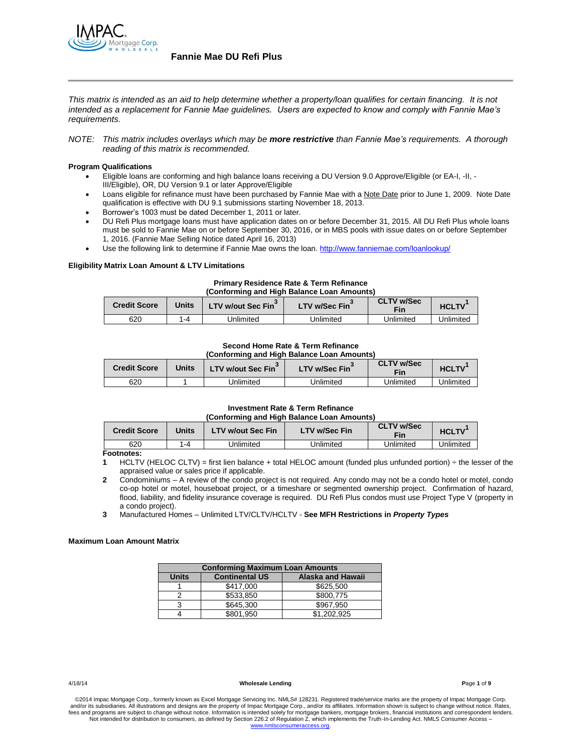

*This matrix is intended as an aid to help determine whether a property/loan qualifies for certain financing. It is not intended as a replacement for Fannie Mae guidelines. Users are expected to know and comply with Fannie Mae's requirements.*

*NOTE: This matrix includes overlays which may be more restrictive than Fannie Mae's requirements. A thorough reading of this matrix is recommended.*

### **Program Qualifications**

- Eligible loans are conforming and high balance loans receiving a DU Version 9.0 Approve/Eligible (or EA-I, -II, III/Eligible), OR, DU Version 9.1 or later Approve/Eligible
- Loans eligible for refinance must have been purchased by Fannie Mae with a Note Date prior to June 1, 2009. Note Date qualification is effective with DU 9.1 submissions starting November 18, 2013.
- Borrower's 1003 must be dated December 1, 2011 or later.
- DU Refi Plus mortgage loans must have application dates on or before December 31, 2015. All DU Refi Plus whole loans must be sold to Fannie Mae on or before September 30, 2016, or in MBS pools with issue dates on or before September 1, 2016. (Fannie Mae Selling Notice dated April 16, 2013)
- Use the following link to determine if Fannie Mae owns the loan[. http://www.fanniemae.com/loanlookup/](http://www.fanniemae.com/loanlookup/)

## **Eligibility Matrix Loan Amount & LTV Limitations**

## **Primary Residence Rate & Term Refinance (Conforming and High Balance Loan Amounts)**

| <b>Credit Score</b> | 'Jnits | LTV w/out Sec Fin <sup>3</sup> | <b>LTV w/Sec Fin</b> | <b>CLTV w/Sec</b><br>Fin | <b>HCLTV</b> |
|---------------------|--------|--------------------------------|----------------------|--------------------------|--------------|
| 620                 | ' -4   | Jnlimited                      | Jnlimited            | Jnlimited                | Unlimited    |

#### **Second Home Rate & Term Refinance (Conforming and High Balance Loan Amounts)**

| <b>Credit Score</b> | <b>Units</b> | LTV w/out Sec Fin | LTV w/Sec Fin | <b>CLTV w/Sec</b><br>Fin | <b>HCLTV</b> |
|---------------------|--------------|-------------------|---------------|--------------------------|--------------|
| 620                 |              | Jnlimited         | Jnlimited     | Jnlimited                | Jnlimited    |

#### **Investment Rate & Term Refinance (Conforming and High Balance Loan Amounts)**

| <b>Credit Score</b> | Units | <b>LTV w/out Sec Fin</b> | <b>LTV w/Sec Fin</b> | <b>CLTV w/Sec</b><br>Fin | <b>HCLTV</b> |
|---------------------|-------|--------------------------|----------------------|--------------------------|--------------|
| 620                 | 1-4   | Jnlimited                | Jnlimited            | Unlimited                | Jnlimited    |

**Footnotes:**

**1** HCLTV (HELOC CLTV) = first lien balance + total HELOC amount (funded plus unfunded portion) ÷ the lesser of the appraised value or sales price if applicable.

**2** Condominiums – A review of the condo project is not required. Any condo may not be a condo hotel or motel, condo co-op hotel or motel, houseboat project, or a timeshare or segmented ownership project. Confirmation of hazard, flood, liability, and fidelity insurance coverage is required. DU Refi Plus condos must use Project Type V (property in a condo project).

**3** Manufactured Homes – Unlimited LTV/CLTV/HCLTV - **See MFH Restrictions in** *Property Types*

### **Maximum Loan Amount Matrix**

| <b>Conforming Maximum Loan Amounts</b> |                       |                   |  |  |
|----------------------------------------|-----------------------|-------------------|--|--|
| <b>Units</b>                           | <b>Continental US</b> | Alaska and Hawaii |  |  |
|                                        | \$417,000             | \$625,500         |  |  |
|                                        | \$533.850             | \$800.775         |  |  |
| 3                                      | \$645.300             | \$967.950         |  |  |
|                                        | \$801.950             | \$1.202.925       |  |  |

4/18/14 **Wholesale Lending P**age **1** of **9**

©2014 Impac Mortgage Corp., formerly known as Excel Mortgage Servicing Inc. NMLS# 128231. Registered trade/service marks are the property of Impac Mortgage Corp. and/or its subsidiaries. All illustrations and designs are the property of Impac Mortgage Corp., and/or its affiliates. Information shown is subject to change without notice. Rates fees and programs are subject to change without notice. Information is intended solely for mortgage bankers, mortgage brokers, financial institutions and correspondent lenders. Not intended for distribution to consumers, as defined by Section 226.2 of Regulation Z, which implements the Truth-In-Lending Act. NMLS Consumer Access – www.nm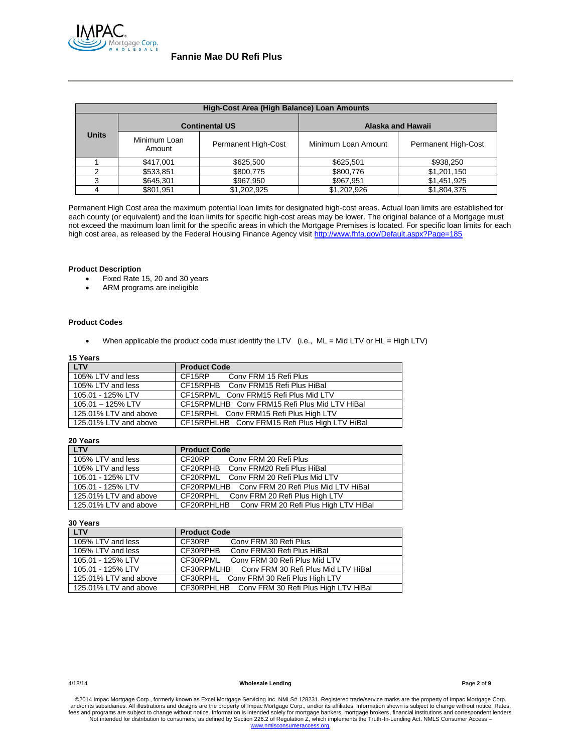

| High-Cost Area (High Balance) Loan Amounts |                        |                            |                     |                            |  |  |
|--------------------------------------------|------------------------|----------------------------|---------------------|----------------------------|--|--|
|                                            | <b>Continental US</b>  |                            | Alaska and Hawaii   |                            |  |  |
| Units                                      | Minimum Loan<br>Amount | <b>Permanent High-Cost</b> | Minimum Loan Amount | <b>Permanent High-Cost</b> |  |  |
|                                            | \$417,001              | \$625,500                  | \$625,501           | \$938,250                  |  |  |
| っ                                          | \$533,851              | \$800,775                  | \$800,776           | \$1,201,150                |  |  |
| 3                                          | \$645,301              | \$967,950                  | \$967,951           | \$1,451,925                |  |  |
|                                            | \$801,951              | \$1,202,925                | \$1,202,926         | \$1,804,375                |  |  |

Permanent High Cost area the maximum potential loan limits for designated high-cost areas. Actual loan limits are established for each county (or equivalent) and the loan limits for specific high-cost areas may be lower. The original balance of a Mortgage must not exceed the maximum loan limit for the specific areas in which the Mortgage Premises is located. For specific loan limits for each high cost area, as released by the Federal Housing Finance Agency visit<http://www.fhfa.gov/Default.aspx?Page=185>

### **Product Description**

- Fixed Rate 15, 20 and 30 years
- ARM programs are ineligible

## **Product Codes**

When applicable the product code must identify the LTV (i.e., ML = Mid LTV or HL = High LTV)

## **15 Years**

| <b>LTV</b>            | <b>Product Code</b>                            |
|-----------------------|------------------------------------------------|
| 105% LTV and less     | CF15RP<br>Conv FRM 15 Refi Plus                |
| 105% LTV and less     | CF15RPHB Conv FRM15 Refi Plus HiBal            |
| 105.01 - 125% LTV     | CF15RPML Conv FRM15 Refi Plus Mid LTV          |
| 105.01 - 125% LTV     | CF15RPMLHB Conv FRM15 Refi Plus Mid LTV HiBal  |
| 125.01% LTV and above | CF15RPHL Conv FRM15 Refi Plus High LTV         |
| 125.01% LTV and above | CF15RPHLHB Conv FRM15 Refi Plus High LTV HiBal |

## **20 Years**

| <b>LTV</b>            | <b>Product Code</b>                             |
|-----------------------|-------------------------------------------------|
| 105% LTV and less     | CF20RP<br>Conv FRM 20 Refi Plus                 |
| 105% LTV and less     | CF20RPHB Conv FRM20 Refi Plus HiBal             |
| 105.01 - 125% LTV     | CF20RPML Conv FRM 20 Refi Plus Mid LTV          |
| 105.01 - 125% LTV     | CF20RPMLHB Conv FRM 20 Refi Plus Mid LTV HiBal  |
| 125.01% LTV and above | CF20RPHL Conv FRM 20 Refi Plus High LTV         |
| 125.01% LTV and above | CF20RPHLHB Conv FRM 20 Refi Plus High LTV HiBal |

## **30 Years**

| <b>LTV</b>            | <b>Product Code</b>                             |
|-----------------------|-------------------------------------------------|
| 105% LTV and less     | CF30RP<br>Conv FRM 30 Refi Plus                 |
| 105% LTV and less     | CF30RPHB<br>Conv FRM30 Refi Plus HiBal          |
| 105.01 - 125% LTV     | CF30RPML<br>Conv FRM 30 Refi Plus Mid LTV       |
| 105.01 - 125% LTV     | CF30RPMLHB Conv FRM 30 Refi Plus Mid LTV HiBal  |
| 125.01% LTV and above | CF30RPHL Conv FRM 30 Refi Plus High LTV         |
| 125.01% LTV and above | CF30RPHLHB Conv FRM 30 Refi Plus High LTV HiBal |

4/18/14 **Wholesale Lending P**age **2** of **9**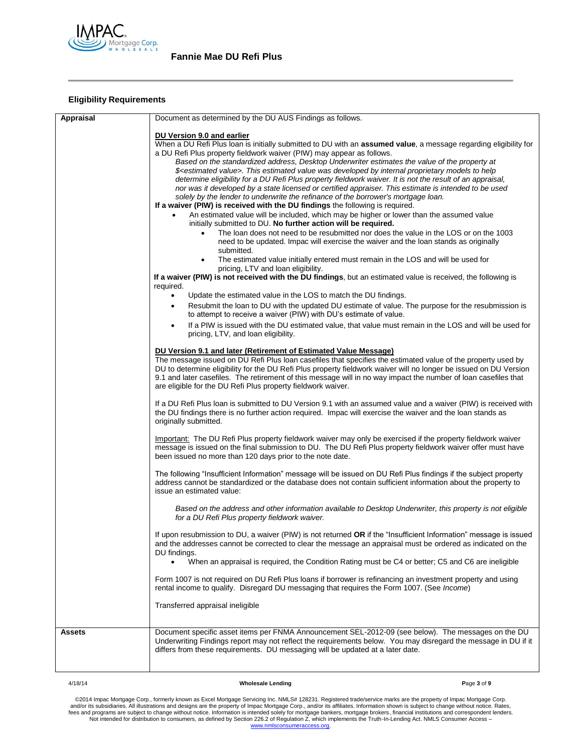

# **Eligibility Requirements**

| Appraisal | Document as determined by the DU AUS Findings as follows.                                                                                                                                                                                                                                                                                                                                                            |
|-----------|----------------------------------------------------------------------------------------------------------------------------------------------------------------------------------------------------------------------------------------------------------------------------------------------------------------------------------------------------------------------------------------------------------------------|
|           | DU Version 9.0 and earlier                                                                                                                                                                                                                                                                                                                                                                                           |
|           | When a DU Refi Plus loan is initially submitted to DU with an assumed value, a message regarding eligibility for<br>a DU Refi Plus property fieldwork waiver (PIW) may appear as follows.                                                                                                                                                                                                                            |
|           | Based on the standardized address, Desktop Underwriter estimates the value of the property at                                                                                                                                                                                                                                                                                                                        |
|           | \$ <estimated value="">. This estimated value was developed by internal proprietary models to help<br/>determine eligibility for a DU Refi Plus property fieldwork waiver. It is not the result of an appraisal,</estimated>                                                                                                                                                                                         |
|           | nor was it developed by a state licensed or certified appraiser. This estimate is intended to be used                                                                                                                                                                                                                                                                                                                |
|           | solely by the lender to underwrite the refinance of the borrower's mortgage loan.<br>If a waiver (PIW) is received with the DU findings the following is required.                                                                                                                                                                                                                                                   |
|           | An estimated value will be included, which may be higher or lower than the assumed value<br>initially submitted to DU. No further action will be required.                                                                                                                                                                                                                                                           |
|           | The loan does not need to be resubmitted nor does the value in the LOS or on the 1003<br>$\bullet$                                                                                                                                                                                                                                                                                                                   |
|           | need to be updated. Impac will exercise the waiver and the loan stands as originally<br>submitted.                                                                                                                                                                                                                                                                                                                   |
|           | The estimated value initially entered must remain in the LOS and will be used for<br>$\bullet$<br>pricing, LTV and loan eligibility.                                                                                                                                                                                                                                                                                 |
|           | If a waiver (PIW) is not received with the DU findings, but an estimated value is received, the following is<br>required.                                                                                                                                                                                                                                                                                            |
|           | Update the estimated value in the LOS to match the DU findings.<br>$\bullet$                                                                                                                                                                                                                                                                                                                                         |
|           | Resubmit the loan to DU with the updated DU estimate of value. The purpose for the resubmission is<br>to attempt to receive a waiver (PIW) with DU's estimate of value.                                                                                                                                                                                                                                              |
|           | If a PIW is issued with the DU estimated value, that value must remain in the LOS and will be used for<br>pricing, LTV, and loan eligibility.                                                                                                                                                                                                                                                                        |
|           | DU Version 9.1 and later (Retirement of Estimated Value Message)                                                                                                                                                                                                                                                                                                                                                     |
|           | The message issued on DU Refi Plus loan casefiles that specifies the estimated value of the property used by<br>DU to determine eligibility for the DU Refi Plus property fieldwork waiver will no longer be issued on DU Version<br>9.1 and later casefiles. The retirement of this message will in no way impact the number of loan casefiles that<br>are eligible for the DU Refi Plus property fieldwork waiver. |
|           | If a DU Refi Plus loan is submitted to DU Version 9.1 with an assumed value and a waiver (PIW) is received with<br>the DU findings there is no further action required. Impac will exercise the waiver and the loan stands as<br>originally submitted.                                                                                                                                                               |
|           | Important: The DU Refi Plus property fieldwork waiver may only be exercised if the property fieldwork waiver<br>message is issued on the final submission to DU. The DU Refi Plus property fieldwork waiver offer must have<br>been issued no more than 120 days prior to the note date.                                                                                                                             |
|           | The following "Insufficient Information" message will be issued on DU Refi Plus findings if the subject property<br>address cannot be standardized or the database does not contain sufficient information about the property to<br>issue an estimated value:                                                                                                                                                        |
|           | Based on the address and other information available to Desktop Underwriter, this property is not eligible<br>for a DU Refi Plus property fieldwork waiver.                                                                                                                                                                                                                                                          |
|           | If upon resubmission to DU, a waiver (PIW) is not returned <b>OR</b> if the "Insufficient Information" message is issued<br>and the addresses cannot be corrected to clear the message an appraisal must be ordered as indicated on the<br>DU findings.                                                                                                                                                              |
|           | When an appraisal is required, the Condition Rating must be C4 or better; C5 and C6 are ineligible                                                                                                                                                                                                                                                                                                                   |
|           | Form 1007 is not required on DU Refi Plus loans if borrower is refinancing an investment property and using<br>rental income to qualify. Disregard DU messaging that requires the Form 1007. (See Income)                                                                                                                                                                                                            |
|           | Transferred appraisal ineligible                                                                                                                                                                                                                                                                                                                                                                                     |
| Assets    | Document specific asset items per FNMA Announcement SEL-2012-09 (see below). The messages on the DU<br>Underwriting Findings report may not reflect the requirements below. You may disregard the message in DU if it<br>differs from these requirements. DU messaging will be updated at a later date.                                                                                                              |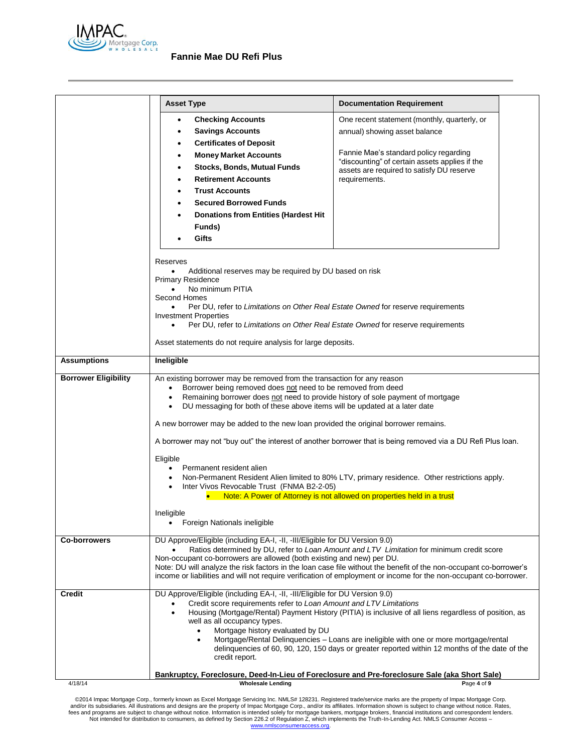

|                             | <b>Asset Type</b>                                                                                                                                                                                                                                                                                                                                                                                                                                                                                                                                                                                                                                                                                                                                                                                                                                 | <b>Documentation Requirement</b>                                                                                                                                                                                                                                                                                                     |  |  |  |
|-----------------------------|---------------------------------------------------------------------------------------------------------------------------------------------------------------------------------------------------------------------------------------------------------------------------------------------------------------------------------------------------------------------------------------------------------------------------------------------------------------------------------------------------------------------------------------------------------------------------------------------------------------------------------------------------------------------------------------------------------------------------------------------------------------------------------------------------------------------------------------------------|--------------------------------------------------------------------------------------------------------------------------------------------------------------------------------------------------------------------------------------------------------------------------------------------------------------------------------------|--|--|--|
|                             | <b>Checking Accounts</b><br>$\bullet$<br><b>Savings Accounts</b><br>٠<br><b>Certificates of Deposit</b><br>٠<br><b>Money Market Accounts</b><br>٠<br><b>Stocks, Bonds, Mutual Funds</b><br>٠<br><b>Retirement Accounts</b><br>$\bullet$<br><b>Trust Accounts</b><br>$\bullet$<br><b>Secured Borrowed Funds</b><br>$\bullet$<br><b>Donations from Entities (Hardest Hit</b><br>Funds)<br>Gifts                                                                                                                                                                                                                                                                                                                                                                                                                                                     | One recent statement (monthly, quarterly, or<br>annual) showing asset balance<br>Fannie Mae's standard policy regarding<br>"discounting" of certain assets applies if the<br>assets are required to satisfy DU reserve<br>requirements.                                                                                              |  |  |  |
|                             | Reserves<br>Additional reserves may be required by DU based on risk<br><b>Primary Residence</b><br>No minimum PITIA<br>$\bullet$<br>Second Homes<br>Per DU, refer to Limitations on Other Real Estate Owned for reserve requirements<br><b>Investment Properties</b><br>Per DU, refer to Limitations on Other Real Estate Owned for reserve requirements<br>Asset statements do not require analysis for large deposits.                                                                                                                                                                                                                                                                                                                                                                                                                          |                                                                                                                                                                                                                                                                                                                                      |  |  |  |
| <b>Assumptions</b>          | Ineligible                                                                                                                                                                                                                                                                                                                                                                                                                                                                                                                                                                                                                                                                                                                                                                                                                                        |                                                                                                                                                                                                                                                                                                                                      |  |  |  |
| <b>Borrower Eligibility</b> | An existing borrower may be removed from the transaction for any reason<br>Borrower being removed does not need to be removed from deed<br>$\bullet$<br>Remaining borrower does not need to provide history of sole payment of mortgage<br>$\bullet$<br>DU messaging for both of these above items will be updated at a later date<br>$\bullet$<br>A new borrower may be added to the new loan provided the original borrower remains.<br>A borrower may not "buy out" the interest of another borrower that is being removed via a DU Refi Plus loan.<br>Eligible<br>Permanent resident alien<br>$\bullet$<br>Non-Permanent Resident Alien limited to 80% LTV, primary residence. Other restrictions apply.<br>Inter Vivos Revocable Trust (FNMA B2-2-05)<br>$\bullet$<br>Note: A Power of Attorney is not allowed on properties held in a trust |                                                                                                                                                                                                                                                                                                                                      |  |  |  |
|                             | Ineligible<br>Foreign Nationals ineligible<br>$\bullet$                                                                                                                                                                                                                                                                                                                                                                                                                                                                                                                                                                                                                                                                                                                                                                                           |                                                                                                                                                                                                                                                                                                                                      |  |  |  |
| <b>Co-borrowers</b>         | DU Approve/Eligible (including EA-I, -II, -III/Eligible for DU Version 9.0)<br>Non-occupant co-borrowers are allowed (both existing and new) per DU.                                                                                                                                                                                                                                                                                                                                                                                                                                                                                                                                                                                                                                                                                              | Ratios determined by DU, refer to Loan Amount and LTV Limitation for minimum credit score<br>Note: DU will analyze the risk factors in the loan case file without the benefit of the non-occupant co-borrower's<br>income or liabilities and will not require verification of employment or income for the non-occupant co-borrower. |  |  |  |
| <b>Credit</b>               | DU Approve/Eligible (including EA-I, -II, -III/Eligible for DU Version 9.0)<br>Credit score requirements refer to Loan Amount and LTV Limitations<br>$\bullet$<br>well as all occupancy types.<br>Mortgage history evaluated by DU<br>$\bullet$<br>$\bullet$<br>credit report.                                                                                                                                                                                                                                                                                                                                                                                                                                                                                                                                                                    | Housing (Mortgage/Rental) Payment History (PITIA) is inclusive of all liens regardless of position, as<br>Mortgage/Rental Delinquencies - Loans are ineligible with one or more mortgage/rental<br>delinguencies of 60, 90, 120, 150 days or greater reported within 12 months of the date of the                                    |  |  |  |
| 4/18/14                     | Bankruptcy, Foreclosure, Deed-In-Lieu of Foreclosure and Pre-foreclosure Sale (aka Short Sale)<br><b>Wholesale Lending</b>                                                                                                                                                                                                                                                                                                                                                                                                                                                                                                                                                                                                                                                                                                                        | Page 4 of 9                                                                                                                                                                                                                                                                                                                          |  |  |  |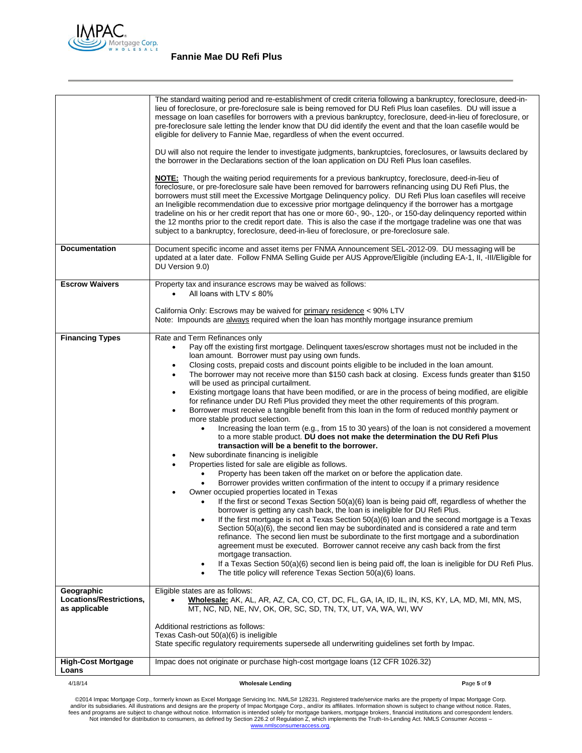

|                                                        | The standard waiting period and re-establishment of credit criteria following a bankruptcy, foreclosure, deed-in-<br>lieu of foreclosure, or pre-foreclosure sale is being removed for DU Refi Plus loan casefiles. DU will issue a<br>message on loan casefiles for borrowers with a previous bankruptcy, foreclosure, deed-in-lieu of foreclosure, or<br>pre-foreclosure sale letting the lender know that DU did identify the event and that the loan casefile would be<br>eligible for delivery to Fannie Mae, regardless of when the event occurred.<br>DU will also not require the lender to investigate judgments, bankruptcies, foreclosures, or lawsuits declared by<br>the borrower in the Declarations section of the loan application on DU Refi Plus loan casefiles.<br>NOTE: Though the waiting period requirements for a previous bankruptcy, foreclosure, deed-in-lieu of<br>foreclosure, or pre-foreclosure sale have been removed for barrowers refinancing using DU Refi Plus, the<br>borrowers must still meet the Excessive Mortgage Delinquency policy. DU Refi Plus loan casefiles will receive<br>an Ineligible recommendation due to excessive prior mortgage delinquency if the borrower has a mortgage<br>tradeline on his or her credit report that has one or more 60-, 90-, 120-, or 150-day delinguency reported within<br>the 12 months prior to the credit report date. This is also the case if the mortgage tradeline was one that was<br>subject to a bankruptcy, foreclosure, deed-in-lieu of foreclosure, or pre-foreclosure sale.                                                                                                                                                                                                                                                                                                                                                                                                                                                                                                                                                                                |             |
|--------------------------------------------------------|----------------------------------------------------------------------------------------------------------------------------------------------------------------------------------------------------------------------------------------------------------------------------------------------------------------------------------------------------------------------------------------------------------------------------------------------------------------------------------------------------------------------------------------------------------------------------------------------------------------------------------------------------------------------------------------------------------------------------------------------------------------------------------------------------------------------------------------------------------------------------------------------------------------------------------------------------------------------------------------------------------------------------------------------------------------------------------------------------------------------------------------------------------------------------------------------------------------------------------------------------------------------------------------------------------------------------------------------------------------------------------------------------------------------------------------------------------------------------------------------------------------------------------------------------------------------------------------------------------------------------------------------------------------------------------------------------------------------------------------------------------------------------------------------------------------------------------------------------------------------------------------------------------------------------------------------------------------------------------------------------------------------------------------------------------------------------------------------------------------------------------------------------------|-------------|
| <b>Documentation</b>                                   | Document specific income and asset items per FNMA Announcement SEL-2012-09. DU messaging will be<br>updated at a later date. Follow FNMA Selling Guide per AUS Approve/Eligible (including EA-1, II, -III/Eligible for<br>DU Version 9.0)                                                                                                                                                                                                                                                                                                                                                                                                                                                                                                                                                                                                                                                                                                                                                                                                                                                                                                                                                                                                                                                                                                                                                                                                                                                                                                                                                                                                                                                                                                                                                                                                                                                                                                                                                                                                                                                                                                                |             |
| <b>Escrow Waivers</b>                                  | Property tax and insurance escrows may be waived as follows:<br>All loans with LTV $\leq$ 80%<br>$\bullet$<br>California Only: Escrows may be waived for primary residence < 90% LTV<br>Note: Impounds are always required when the loan has monthly mortgage insurance premium                                                                                                                                                                                                                                                                                                                                                                                                                                                                                                                                                                                                                                                                                                                                                                                                                                                                                                                                                                                                                                                                                                                                                                                                                                                                                                                                                                                                                                                                                                                                                                                                                                                                                                                                                                                                                                                                          |             |
| <b>Financing Types</b>                                 | Rate and Term Refinances only<br>Pay off the existing first mortgage. Delinquent taxes/escrow shortages must not be included in the<br>loan amount. Borrower must pay using own funds.<br>Closing costs, prepaid costs and discount points eligible to be included in the loan amount.<br>٠<br>The borrower may not receive more than \$150 cash back at closing. Excess funds greater than \$150<br>$\bullet$<br>will be used as principal curtailment.<br>Existing mortgage loans that have been modified, or are in the process of being modified, are eligible<br>٠<br>for refinance under DU Refi Plus provided they meet the other requirements of this program.<br>Borrower must receive a tangible benefit from this loan in the form of reduced monthly payment or<br>$\bullet$<br>more stable product selection.<br>Increasing the loan term (e.g., from 15 to 30 years) of the loan is not considered a movement<br>to a more stable product. DU does not make the determination the DU Refi Plus<br>transaction will be a benefit to the borrower.<br>New subordinate financing is ineligible<br>Properties listed for sale are eligible as follows.<br>Property has been taken off the market on or before the application date.<br>Borrower provides written confirmation of the intent to occupy if a primary residence<br>Owner occupied properties located in Texas<br>If the first or second Texas Section 50(a)(6) loan is being paid off, regardless of whether the<br>borrower is getting any cash back, the loan is ineligible for DU Refi Plus.<br>If the first mortgage is not a Texas Section 50(a)(6) loan and the second mortgage is a Texas<br>Section 50(a)(6), the second lien may be subordinated and is considered a rate and term<br>refinance. The second lien must be subordinate to the first mortgage and a subordination<br>agreement must be executed. Borrower cannot receive any cash back from the first<br>mortgage transaction.<br>If a Texas Section 50(a)(6) second lien is being paid off, the loan is ineligible for DU Refi Plus.<br>٠<br>The title policy will reference Texas Section 50(a)(6) loans. |             |
| Geographic<br>Locations/Restrictions,<br>as applicable | Eligible states are as follows:<br>Wholesale: AK, AL, AR, AZ, CA, CO, CT, DC, FL, GA, IA, ID, IL, IN, KS, KY, LA, MD, MI, MN, MS,<br>MT, NC, ND, NE, NV, OK, OR, SC, SD, TN, TX, UT, VA, WA, WI, WV<br>Additional restrictions as follows:<br>Texas Cash-out 50(a)(6) is ineligible<br>State specific regulatory requirements supersede all underwriting guidelines set forth by Impac.                                                                                                                                                                                                                                                                                                                                                                                                                                                                                                                                                                                                                                                                                                                                                                                                                                                                                                                                                                                                                                                                                                                                                                                                                                                                                                                                                                                                                                                                                                                                                                                                                                                                                                                                                                  |             |
| <b>High-Cost Mortgage</b><br>Loans                     | Impac does not originate or purchase high-cost mortgage loans (12 CFR 1026.32)                                                                                                                                                                                                                                                                                                                                                                                                                                                                                                                                                                                                                                                                                                                                                                                                                                                                                                                                                                                                                                                                                                                                                                                                                                                                                                                                                                                                                                                                                                                                                                                                                                                                                                                                                                                                                                                                                                                                                                                                                                                                           |             |
| 4/18/14                                                | <b>Wholesale Lending</b>                                                                                                                                                                                                                                                                                                                                                                                                                                                                                                                                                                                                                                                                                                                                                                                                                                                                                                                                                                                                                                                                                                                                                                                                                                                                                                                                                                                                                                                                                                                                                                                                                                                                                                                                                                                                                                                                                                                                                                                                                                                                                                                                 | Page 5 of 9 |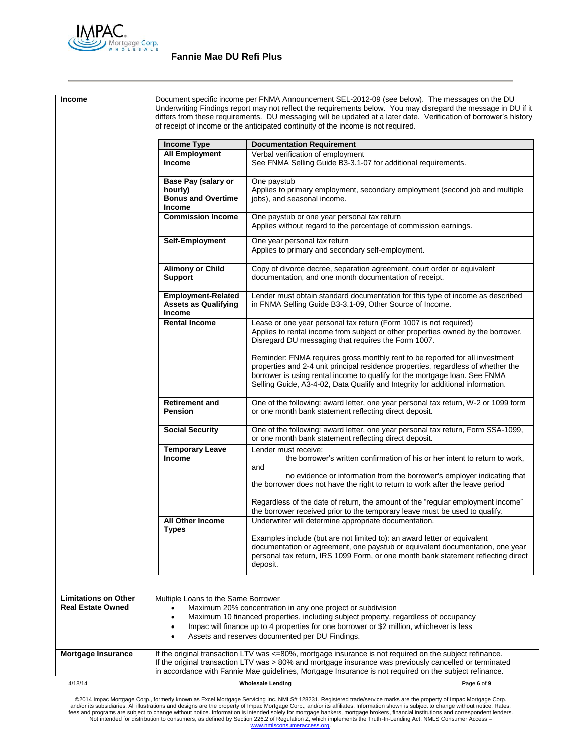

# **Fannie Mae DU Refi Plus**

| <b>Income</b>                                           |                                                                              | Document specific income per FNMA Announcement SEL-2012-09 (see below). The messages on the DU<br>Underwriting Findings report may not reflect the requirements below. You may disregard the message in DU if it<br>differs from these requirements. DU messaging will be updated at a later date. Verification of borrower's history |  |
|---------------------------------------------------------|------------------------------------------------------------------------------|---------------------------------------------------------------------------------------------------------------------------------------------------------------------------------------------------------------------------------------------------------------------------------------------------------------------------------------|--|
|                                                         |                                                                              | of receipt of income or the anticipated continuity of the income is not required.                                                                                                                                                                                                                                                     |  |
|                                                         | <b>Income Type</b>                                                           | <b>Documentation Requirement</b>                                                                                                                                                                                                                                                                                                      |  |
|                                                         | <b>All Employment</b><br><b>Income</b>                                       | Verbal verification of employment<br>See FNMA Selling Guide B3-3.1-07 for additional requirements.                                                                                                                                                                                                                                    |  |
|                                                         | Base Pay (salary or<br>hourly)<br><b>Bonus and Overtime</b><br><b>Income</b> | One paystub<br>Applies to primary employment, secondary employment (second job and multiple<br>jobs), and seasonal income.                                                                                                                                                                                                            |  |
|                                                         | <b>Commission Income</b>                                                     | One paystub or one year personal tax return<br>Applies without regard to the percentage of commission earnings.                                                                                                                                                                                                                       |  |
|                                                         | Self-Employment                                                              | One year personal tax return<br>Applies to primary and secondary self-employment.                                                                                                                                                                                                                                                     |  |
|                                                         | <b>Alimony or Child</b><br><b>Support</b>                                    | Copy of divorce decree, separation agreement, court order or equivalent<br>documentation, and one month documentation of receipt.                                                                                                                                                                                                     |  |
|                                                         | <b>Employment-Related</b><br><b>Assets as Qualifying</b><br>Income           | Lender must obtain standard documentation for this type of income as described<br>in FNMA Selling Guide B3-3.1-09, Other Source of Income.                                                                                                                                                                                            |  |
|                                                         | <b>Rental Income</b>                                                         | Lease or one year personal tax return (Form 1007 is not required)<br>Applies to rental income from subject or other properties owned by the borrower.<br>Disregard DU messaging that requires the Form 1007.                                                                                                                          |  |
|                                                         |                                                                              | Reminder: FNMA requires gross monthly rent to be reported for all investment<br>properties and 2-4 unit principal residence properties, regardless of whether the<br>borrower is using rental income to qualify for the mortgage loan. See FNMA<br>Selling Guide, A3-4-02, Data Qualify and Integrity for additional information.     |  |
|                                                         | <b>Retirement and</b><br><b>Pension</b>                                      | One of the following: award letter, one year personal tax return, W-2 or 1099 form<br>or one month bank statement reflecting direct deposit.                                                                                                                                                                                          |  |
|                                                         | <b>Social Security</b>                                                       | One of the following: award letter, one year personal tax return, Form SSA-1099,<br>or one month bank statement reflecting direct deposit.                                                                                                                                                                                            |  |
|                                                         | <b>Temporary Leave</b><br><b>Income</b>                                      | Lender must receive:<br>the borrower's written confirmation of his or her intent to return to work,<br>and<br>no evidence or information from the borrower's employer indicating that<br>the borrower does not have the right to return to work after the leave period                                                                |  |
|                                                         |                                                                              | Regardless of the date of return, the amount of the "regular employment income"<br>the borrower received prior to the temporary leave must be used to qualify.                                                                                                                                                                        |  |
|                                                         | All Other Income<br><b>Types</b>                                             | Underwriter will determine appropriate documentation.<br>Examples include (but are not limited to): an award letter or equivalent                                                                                                                                                                                                     |  |
|                                                         |                                                                              | documentation or agreement, one paystub or equivalent documentation, one year<br>personal tax return, IRS 1099 Form, or one month bank statement reflecting direct<br>deposit.                                                                                                                                                        |  |
|                                                         |                                                                              |                                                                                                                                                                                                                                                                                                                                       |  |
| <b>Limitations on Other</b><br><b>Real Estate Owned</b> | Multiple Loans to the Same Borrower<br>$\bullet$<br>٠<br>$\bullet$           | Maximum 20% concentration in any one project or subdivision<br>Maximum 10 financed properties, including subject property, regardless of occupancy<br>Impac will finance up to 4 properties for one borrower or \$2 million, whichever is less<br>Assets and reserves documented per DU Findings.                                     |  |
| <b>Mortgage Insurance</b>                               |                                                                              | If the original transaction LTV was <=80%, mortgage insurance is not required on the subject refinance.<br>If the original transaction LTV was > 80% and mortgage insurance was previously cancelled or terminated<br>in accordance with Fannie Mae guidelines, Mortgage Insurance is not required on the subject refinance.          |  |
| 4/18/14                                                 |                                                                              | <b>Wholesale Lending</b><br>Page 6 of 9                                                                                                                                                                                                                                                                                               |  |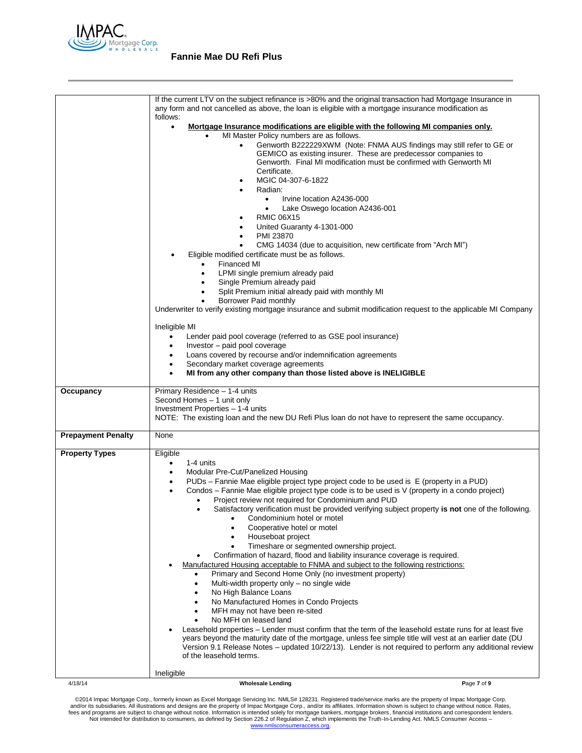

|                           | If the current LTV on the subject refinance is >80% and the original transaction had Mortgage Insurance in<br>any form and not cancelled as above, the loan is eligible with a mortgage insurance modification as                                   |             |
|---------------------------|-----------------------------------------------------------------------------------------------------------------------------------------------------------------------------------------------------------------------------------------------------|-------------|
|                           | follows:                                                                                                                                                                                                                                            |             |
|                           | Mortgage Insurance modifications are eligible with the following MI companies only.<br>$\bullet$<br>MI Master Policy numbers are as follows.                                                                                                        |             |
|                           | Genworth B222229XWM (Note: FNMA AUS findings may still refer to GE or<br>GEMICO as existing insurer. These are predecessor companies to<br>Genworth. Final MI modification must be confirmed with Genworth MI<br>Certificate.<br>MGIC 04-307-6-1822 |             |
|                           | Radian:<br>Irvine location A2436-000<br>$\bullet$                                                                                                                                                                                                   |             |
|                           | Lake Oswego location A2436-001<br>$\bullet$<br><b>RMIC 06X15</b>                                                                                                                                                                                    |             |
|                           | United Guaranty 4-1301-000<br>PMI 23870<br>CMG 14034 (due to acquisition, new certificate from "Arch MI")                                                                                                                                           |             |
|                           | Eligible modified certificate must be as follows.<br>Financed MI<br>$\bullet$                                                                                                                                                                       |             |
|                           | LPMI single premium already paid<br>Single Premium already paid                                                                                                                                                                                     |             |
|                           | Split Premium initial already paid with monthly MI<br>Borrower Paid monthly                                                                                                                                                                         |             |
|                           | Underwriter to verify existing mortgage insurance and submit modification request to the applicable MI Company                                                                                                                                      |             |
|                           | Ineligible MI<br>Lender paid pool coverage (referred to as GSE pool insurance)<br>$\bullet$<br>Investor - paid pool coverage                                                                                                                        |             |
|                           | Loans covered by recourse and/or indemnification agreements<br>٠                                                                                                                                                                                    |             |
|                           | Secondary market coverage agreements<br>٠                                                                                                                                                                                                           |             |
|                           | MI from any other company than those listed above is INELIGIBLE                                                                                                                                                                                     |             |
| Occupancy                 | Primary Residence - 1-4 units<br>Second Homes - 1 unit only<br>Investment Properties - 1-4 units<br>NOTE: The existing loan and the new DU Refi Plus loan do not have to represent the same occupancy.                                              |             |
| <b>Prepayment Penalty</b> | None                                                                                                                                                                                                                                                |             |
| <b>Property Types</b>     | Eligible                                                                                                                                                                                                                                            |             |
|                           | 1-4 units<br>٠<br>Modular Pre-Cut/Panelized Housing<br>$\bullet$                                                                                                                                                                                    |             |
|                           | PUDs - Fannie Mae eligible project type project code to be used is E (property in a PUD)<br>٠                                                                                                                                                       |             |
|                           | Condos - Fannie Mae eligible project type code is to be used is V (property in a condo project)<br>$\bullet$<br>Project review not required for Condominium and PUD                                                                                 |             |
|                           | Satisfactory verification must be provided verifying subject property is not one of the following.<br>٠                                                                                                                                             |             |
|                           | Condominium hotel or motel<br>Cooperative hotel or motel                                                                                                                                                                                            |             |
|                           | Houseboat project<br>Timeshare or segmented ownership project.                                                                                                                                                                                      |             |
|                           | Confirmation of hazard, flood and liability insurance coverage is required.                                                                                                                                                                         |             |
|                           | Manufactured Housing acceptable to FNMA and subject to the following restrictions:<br>Primary and Second Home Only (no investment property)<br>٠                                                                                                    |             |
|                           | Multi-width property only - no single wide<br>$\bullet$                                                                                                                                                                                             |             |
|                           | No High Balance Loans<br>No Manufactured Homes in Condo Projects                                                                                                                                                                                    |             |
|                           | MFH may not have been re-sited                                                                                                                                                                                                                      |             |
|                           | No MFH on leased land<br>Leasehold properties – Lender must confirm that the term of the leasehold estate runs for at least five                                                                                                                    |             |
|                           | years beyond the maturity date of the mortgage, unless fee simple title will vest at an earlier date (DU<br>Version 9.1 Release Notes – updated 10/22/13). Lender is not required to perform any additional review<br>of the leasehold terms.       |             |
|                           | Ineligible                                                                                                                                                                                                                                          |             |
| 4/18/14                   | <b>Wholesale Lending</b>                                                                                                                                                                                                                            | Page 7 of 9 |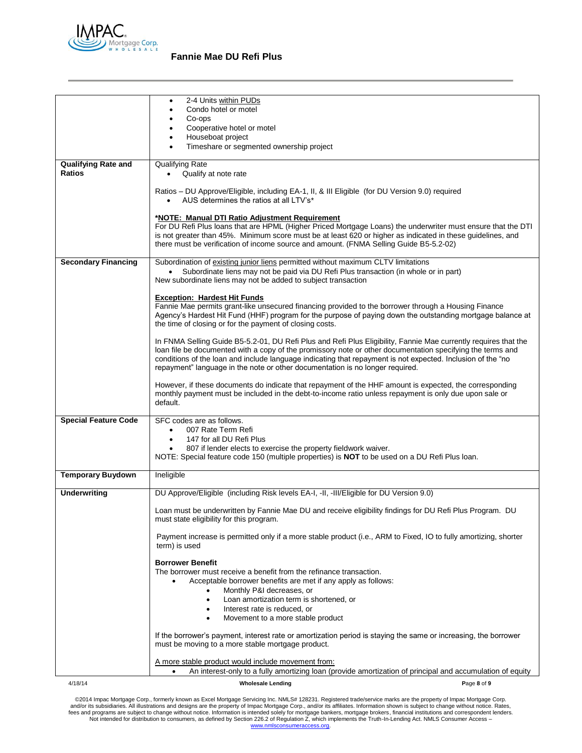

# **Fannie Mae DU Refi Plus**

| ٠<br>Condo hotel or motel<br>Co-ops<br>Cooperative hotel or motel<br>Houseboat project<br>Timeshare or segmented ownership project<br><b>Qualifying Rate and</b><br>Qualifying Rate<br><b>Ratios</b><br>Qualify at note rate<br>$\bullet$<br>Ratios - DU Approve/Eligible, including EA-1, II, & III Eligible (for DU Version 9.0) required<br>AUS determines the ratios at all LTV's*<br>$\bullet$<br>*NOTE: Manual DTI Ratio Adjustment Requirement<br>For DU Refi Plus loans that are HPML (Higher Priced Mortgage Loans) the underwriter must ensure that the DTI<br>is not greater than 45%. Minimum score must be at least 620 or higher as indicated in these guidelines, and<br>there must be verification of income source and amount. (FNMA Selling Guide B5-5.2-02)<br><b>Secondary Financing</b><br>Subordination of existing junior liens permitted without maximum CLTV limitations<br>Subordinate liens may not be paid via DU Refi Plus transaction (in whole or in part)<br>New subordinate liens may not be added to subject transaction<br><b>Exception: Hardest Hit Funds</b><br>Fannie Mae permits grant-like unsecured financing provided to the borrower through a Housing Finance<br>Agency's Hardest Hit Fund (HHF) program for the purpose of paying down the outstanding mortgage balance at<br>the time of closing or for the payment of closing costs.<br>In FNMA Selling Guide B5-5.2-01, DU Refi Plus and Refi Plus Eligibility, Fannie Mae currently requires that the<br>loan file be documented with a copy of the promissory note or other documentation specifying the terms and<br>conditions of the loan and include language indicating that repayment is not expected. Inclusion of the "no<br>repayment" language in the note or other documentation is no longer required.<br>However, if these documents do indicate that repayment of the HHF amount is expected, the corresponding<br>monthly payment must be included in the debt-to-income ratio unless repayment is only due upon sale or<br>default.<br>SFC codes are as follows.<br><b>Special Feature Code</b><br>007 Rate Term Refi<br>$\bullet$<br>147 for all DU Refi Plus<br>807 if lender elects to exercise the property fieldwork waiver.<br>٠<br>NOTE: Special feature code 150 (multiple properties) is <b>NOT</b> to be used on a DU Refi Plus loan.<br><b>Temporary Buydown</b><br>Ineligible<br><b>Underwriting</b><br>DU Approve/Eligible (including Risk levels EA-I, -II, -III/Eligible for DU Version 9.0)<br>Loan must be underwritten by Fannie Mae DU and receive eligibility findings for DU Refi Plus Program. DU<br>must state eligibility for this program.<br>Payment increase is permitted only if a more stable product (i.e., ARM to Fixed, IO to fully amortizing, shorter<br>term) is used<br><b>Borrower Benefit</b><br>The borrower must receive a benefit from the refinance transaction.<br>Acceptable borrower benefits are met if any apply as follows:<br>Monthly P&I decreases, or<br>$\bullet$<br>Loan amortization term is shortened, or<br>$\bullet$<br>Interest rate is reduced, or<br>٠<br>Movement to a more stable product<br>$\bullet$<br>If the borrower's payment, interest rate or amortization period is staying the same or increasing, the borrower<br>must be moving to a more stable mortgage product.<br>A more stable product would include movement from:<br>An interest-only to a fully amortizing loan (provide amortization of principal and accumulation of equity<br>4/18/14<br><b>Wholesale Lending</b><br>Page 8 of 9 |                       |
|-----------------------------------------------------------------------------------------------------------------------------------------------------------------------------------------------------------------------------------------------------------------------------------------------------------------------------------------------------------------------------------------------------------------------------------------------------------------------------------------------------------------------------------------------------------------------------------------------------------------------------------------------------------------------------------------------------------------------------------------------------------------------------------------------------------------------------------------------------------------------------------------------------------------------------------------------------------------------------------------------------------------------------------------------------------------------------------------------------------------------------------------------------------------------------------------------------------------------------------------------------------------------------------------------------------------------------------------------------------------------------------------------------------------------------------------------------------------------------------------------------------------------------------------------------------------------------------------------------------------------------------------------------------------------------------------------------------------------------------------------------------------------------------------------------------------------------------------------------------------------------------------------------------------------------------------------------------------------------------------------------------------------------------------------------------------------------------------------------------------------------------------------------------------------------------------------------------------------------------------------------------------------------------------------------------------------------------------------------------------------------------------------------------------------------------------------------------------------------------------------------------------------------------------------------------------------------------------------------------------------------------------------------------------------------------------------------------------------------------------------------------------------------------------------------------------------------------------------------------------------------------------------------------------------------------------------------------------------------------------------------------------------------------------------------------------------------------------------------------------------------------------------------------------------------------------------------------------------------------------------------------------------------------------------------------------------------------------------------------------------------------------------------------------------------------------------------------------------------------------------------------------------------------------------------------------------------------------|-----------------------|
|                                                                                                                                                                                                                                                                                                                                                                                                                                                                                                                                                                                                                                                                                                                                                                                                                                                                                                                                                                                                                                                                                                                                                                                                                                                                                                                                                                                                                                                                                                                                                                                                                                                                                                                                                                                                                                                                                                                                                                                                                                                                                                                                                                                                                                                                                                                                                                                                                                                                                                                                                                                                                                                                                                                                                                                                                                                                                                                                                                                                                                                                                                                                                                                                                                                                                                                                                                                                                                                                                                                                                                                         | 2-4 Units within PUDs |
|                                                                                                                                                                                                                                                                                                                                                                                                                                                                                                                                                                                                                                                                                                                                                                                                                                                                                                                                                                                                                                                                                                                                                                                                                                                                                                                                                                                                                                                                                                                                                                                                                                                                                                                                                                                                                                                                                                                                                                                                                                                                                                                                                                                                                                                                                                                                                                                                                                                                                                                                                                                                                                                                                                                                                                                                                                                                                                                                                                                                                                                                                                                                                                                                                                                                                                                                                                                                                                                                                                                                                                                         |                       |
|                                                                                                                                                                                                                                                                                                                                                                                                                                                                                                                                                                                                                                                                                                                                                                                                                                                                                                                                                                                                                                                                                                                                                                                                                                                                                                                                                                                                                                                                                                                                                                                                                                                                                                                                                                                                                                                                                                                                                                                                                                                                                                                                                                                                                                                                                                                                                                                                                                                                                                                                                                                                                                                                                                                                                                                                                                                                                                                                                                                                                                                                                                                                                                                                                                                                                                                                                                                                                                                                                                                                                                                         |                       |
|                                                                                                                                                                                                                                                                                                                                                                                                                                                                                                                                                                                                                                                                                                                                                                                                                                                                                                                                                                                                                                                                                                                                                                                                                                                                                                                                                                                                                                                                                                                                                                                                                                                                                                                                                                                                                                                                                                                                                                                                                                                                                                                                                                                                                                                                                                                                                                                                                                                                                                                                                                                                                                                                                                                                                                                                                                                                                                                                                                                                                                                                                                                                                                                                                                                                                                                                                                                                                                                                                                                                                                                         |                       |
|                                                                                                                                                                                                                                                                                                                                                                                                                                                                                                                                                                                                                                                                                                                                                                                                                                                                                                                                                                                                                                                                                                                                                                                                                                                                                                                                                                                                                                                                                                                                                                                                                                                                                                                                                                                                                                                                                                                                                                                                                                                                                                                                                                                                                                                                                                                                                                                                                                                                                                                                                                                                                                                                                                                                                                                                                                                                                                                                                                                                                                                                                                                                                                                                                                                                                                                                                                                                                                                                                                                                                                                         |                       |
|                                                                                                                                                                                                                                                                                                                                                                                                                                                                                                                                                                                                                                                                                                                                                                                                                                                                                                                                                                                                                                                                                                                                                                                                                                                                                                                                                                                                                                                                                                                                                                                                                                                                                                                                                                                                                                                                                                                                                                                                                                                                                                                                                                                                                                                                                                                                                                                                                                                                                                                                                                                                                                                                                                                                                                                                                                                                                                                                                                                                                                                                                                                                                                                                                                                                                                                                                                                                                                                                                                                                                                                         |                       |
|                                                                                                                                                                                                                                                                                                                                                                                                                                                                                                                                                                                                                                                                                                                                                                                                                                                                                                                                                                                                                                                                                                                                                                                                                                                                                                                                                                                                                                                                                                                                                                                                                                                                                                                                                                                                                                                                                                                                                                                                                                                                                                                                                                                                                                                                                                                                                                                                                                                                                                                                                                                                                                                                                                                                                                                                                                                                                                                                                                                                                                                                                                                                                                                                                                                                                                                                                                                                                                                                                                                                                                                         |                       |
|                                                                                                                                                                                                                                                                                                                                                                                                                                                                                                                                                                                                                                                                                                                                                                                                                                                                                                                                                                                                                                                                                                                                                                                                                                                                                                                                                                                                                                                                                                                                                                                                                                                                                                                                                                                                                                                                                                                                                                                                                                                                                                                                                                                                                                                                                                                                                                                                                                                                                                                                                                                                                                                                                                                                                                                                                                                                                                                                                                                                                                                                                                                                                                                                                                                                                                                                                                                                                                                                                                                                                                                         |                       |
|                                                                                                                                                                                                                                                                                                                                                                                                                                                                                                                                                                                                                                                                                                                                                                                                                                                                                                                                                                                                                                                                                                                                                                                                                                                                                                                                                                                                                                                                                                                                                                                                                                                                                                                                                                                                                                                                                                                                                                                                                                                                                                                                                                                                                                                                                                                                                                                                                                                                                                                                                                                                                                                                                                                                                                                                                                                                                                                                                                                                                                                                                                                                                                                                                                                                                                                                                                                                                                                                                                                                                                                         |                       |
|                                                                                                                                                                                                                                                                                                                                                                                                                                                                                                                                                                                                                                                                                                                                                                                                                                                                                                                                                                                                                                                                                                                                                                                                                                                                                                                                                                                                                                                                                                                                                                                                                                                                                                                                                                                                                                                                                                                                                                                                                                                                                                                                                                                                                                                                                                                                                                                                                                                                                                                                                                                                                                                                                                                                                                                                                                                                                                                                                                                                                                                                                                                                                                                                                                                                                                                                                                                                                                                                                                                                                                                         |                       |
|                                                                                                                                                                                                                                                                                                                                                                                                                                                                                                                                                                                                                                                                                                                                                                                                                                                                                                                                                                                                                                                                                                                                                                                                                                                                                                                                                                                                                                                                                                                                                                                                                                                                                                                                                                                                                                                                                                                                                                                                                                                                                                                                                                                                                                                                                                                                                                                                                                                                                                                                                                                                                                                                                                                                                                                                                                                                                                                                                                                                                                                                                                                                                                                                                                                                                                                                                                                                                                                                                                                                                                                         |                       |
|                                                                                                                                                                                                                                                                                                                                                                                                                                                                                                                                                                                                                                                                                                                                                                                                                                                                                                                                                                                                                                                                                                                                                                                                                                                                                                                                                                                                                                                                                                                                                                                                                                                                                                                                                                                                                                                                                                                                                                                                                                                                                                                                                                                                                                                                                                                                                                                                                                                                                                                                                                                                                                                                                                                                                                                                                                                                                                                                                                                                                                                                                                                                                                                                                                                                                                                                                                                                                                                                                                                                                                                         |                       |
|                                                                                                                                                                                                                                                                                                                                                                                                                                                                                                                                                                                                                                                                                                                                                                                                                                                                                                                                                                                                                                                                                                                                                                                                                                                                                                                                                                                                                                                                                                                                                                                                                                                                                                                                                                                                                                                                                                                                                                                                                                                                                                                                                                                                                                                                                                                                                                                                                                                                                                                                                                                                                                                                                                                                                                                                                                                                                                                                                                                                                                                                                                                                                                                                                                                                                                                                                                                                                                                                                                                                                                                         |                       |
|                                                                                                                                                                                                                                                                                                                                                                                                                                                                                                                                                                                                                                                                                                                                                                                                                                                                                                                                                                                                                                                                                                                                                                                                                                                                                                                                                                                                                                                                                                                                                                                                                                                                                                                                                                                                                                                                                                                                                                                                                                                                                                                                                                                                                                                                                                                                                                                                                                                                                                                                                                                                                                                                                                                                                                                                                                                                                                                                                                                                                                                                                                                                                                                                                                                                                                                                                                                                                                                                                                                                                                                         |                       |
|                                                                                                                                                                                                                                                                                                                                                                                                                                                                                                                                                                                                                                                                                                                                                                                                                                                                                                                                                                                                                                                                                                                                                                                                                                                                                                                                                                                                                                                                                                                                                                                                                                                                                                                                                                                                                                                                                                                                                                                                                                                                                                                                                                                                                                                                                                                                                                                                                                                                                                                                                                                                                                                                                                                                                                                                                                                                                                                                                                                                                                                                                                                                                                                                                                                                                                                                                                                                                                                                                                                                                                                         |                       |
|                                                                                                                                                                                                                                                                                                                                                                                                                                                                                                                                                                                                                                                                                                                                                                                                                                                                                                                                                                                                                                                                                                                                                                                                                                                                                                                                                                                                                                                                                                                                                                                                                                                                                                                                                                                                                                                                                                                                                                                                                                                                                                                                                                                                                                                                                                                                                                                                                                                                                                                                                                                                                                                                                                                                                                                                                                                                                                                                                                                                                                                                                                                                                                                                                                                                                                                                                                                                                                                                                                                                                                                         |                       |
|                                                                                                                                                                                                                                                                                                                                                                                                                                                                                                                                                                                                                                                                                                                                                                                                                                                                                                                                                                                                                                                                                                                                                                                                                                                                                                                                                                                                                                                                                                                                                                                                                                                                                                                                                                                                                                                                                                                                                                                                                                                                                                                                                                                                                                                                                                                                                                                                                                                                                                                                                                                                                                                                                                                                                                                                                                                                                                                                                                                                                                                                                                                                                                                                                                                                                                                                                                                                                                                                                                                                                                                         |                       |
|                                                                                                                                                                                                                                                                                                                                                                                                                                                                                                                                                                                                                                                                                                                                                                                                                                                                                                                                                                                                                                                                                                                                                                                                                                                                                                                                                                                                                                                                                                                                                                                                                                                                                                                                                                                                                                                                                                                                                                                                                                                                                                                                                                                                                                                                                                                                                                                                                                                                                                                                                                                                                                                                                                                                                                                                                                                                                                                                                                                                                                                                                                                                                                                                                                                                                                                                                                                                                                                                                                                                                                                         |                       |
|                                                                                                                                                                                                                                                                                                                                                                                                                                                                                                                                                                                                                                                                                                                                                                                                                                                                                                                                                                                                                                                                                                                                                                                                                                                                                                                                                                                                                                                                                                                                                                                                                                                                                                                                                                                                                                                                                                                                                                                                                                                                                                                                                                                                                                                                                                                                                                                                                                                                                                                                                                                                                                                                                                                                                                                                                                                                                                                                                                                                                                                                                                                                                                                                                                                                                                                                                                                                                                                                                                                                                                                         |                       |
|                                                                                                                                                                                                                                                                                                                                                                                                                                                                                                                                                                                                                                                                                                                                                                                                                                                                                                                                                                                                                                                                                                                                                                                                                                                                                                                                                                                                                                                                                                                                                                                                                                                                                                                                                                                                                                                                                                                                                                                                                                                                                                                                                                                                                                                                                                                                                                                                                                                                                                                                                                                                                                                                                                                                                                                                                                                                                                                                                                                                                                                                                                                                                                                                                                                                                                                                                                                                                                                                                                                                                                                         |                       |
|                                                                                                                                                                                                                                                                                                                                                                                                                                                                                                                                                                                                                                                                                                                                                                                                                                                                                                                                                                                                                                                                                                                                                                                                                                                                                                                                                                                                                                                                                                                                                                                                                                                                                                                                                                                                                                                                                                                                                                                                                                                                                                                                                                                                                                                                                                                                                                                                                                                                                                                                                                                                                                                                                                                                                                                                                                                                                                                                                                                                                                                                                                                                                                                                                                                                                                                                                                                                                                                                                                                                                                                         |                       |
|                                                                                                                                                                                                                                                                                                                                                                                                                                                                                                                                                                                                                                                                                                                                                                                                                                                                                                                                                                                                                                                                                                                                                                                                                                                                                                                                                                                                                                                                                                                                                                                                                                                                                                                                                                                                                                                                                                                                                                                                                                                                                                                                                                                                                                                                                                                                                                                                                                                                                                                                                                                                                                                                                                                                                                                                                                                                                                                                                                                                                                                                                                                                                                                                                                                                                                                                                                                                                                                                                                                                                                                         |                       |
|                                                                                                                                                                                                                                                                                                                                                                                                                                                                                                                                                                                                                                                                                                                                                                                                                                                                                                                                                                                                                                                                                                                                                                                                                                                                                                                                                                                                                                                                                                                                                                                                                                                                                                                                                                                                                                                                                                                                                                                                                                                                                                                                                                                                                                                                                                                                                                                                                                                                                                                                                                                                                                                                                                                                                                                                                                                                                                                                                                                                                                                                                                                                                                                                                                                                                                                                                                                                                                                                                                                                                                                         |                       |
|                                                                                                                                                                                                                                                                                                                                                                                                                                                                                                                                                                                                                                                                                                                                                                                                                                                                                                                                                                                                                                                                                                                                                                                                                                                                                                                                                                                                                                                                                                                                                                                                                                                                                                                                                                                                                                                                                                                                                                                                                                                                                                                                                                                                                                                                                                                                                                                                                                                                                                                                                                                                                                                                                                                                                                                                                                                                                                                                                                                                                                                                                                                                                                                                                                                                                                                                                                                                                                                                                                                                                                                         |                       |
|                                                                                                                                                                                                                                                                                                                                                                                                                                                                                                                                                                                                                                                                                                                                                                                                                                                                                                                                                                                                                                                                                                                                                                                                                                                                                                                                                                                                                                                                                                                                                                                                                                                                                                                                                                                                                                                                                                                                                                                                                                                                                                                                                                                                                                                                                                                                                                                                                                                                                                                                                                                                                                                                                                                                                                                                                                                                                                                                                                                                                                                                                                                                                                                                                                                                                                                                                                                                                                                                                                                                                                                         |                       |
|                                                                                                                                                                                                                                                                                                                                                                                                                                                                                                                                                                                                                                                                                                                                                                                                                                                                                                                                                                                                                                                                                                                                                                                                                                                                                                                                                                                                                                                                                                                                                                                                                                                                                                                                                                                                                                                                                                                                                                                                                                                                                                                                                                                                                                                                                                                                                                                                                                                                                                                                                                                                                                                                                                                                                                                                                                                                                                                                                                                                                                                                                                                                                                                                                                                                                                                                                                                                                                                                                                                                                                                         |                       |
|                                                                                                                                                                                                                                                                                                                                                                                                                                                                                                                                                                                                                                                                                                                                                                                                                                                                                                                                                                                                                                                                                                                                                                                                                                                                                                                                                                                                                                                                                                                                                                                                                                                                                                                                                                                                                                                                                                                                                                                                                                                                                                                                                                                                                                                                                                                                                                                                                                                                                                                                                                                                                                                                                                                                                                                                                                                                                                                                                                                                                                                                                                                                                                                                                                                                                                                                                                                                                                                                                                                                                                                         |                       |
|                                                                                                                                                                                                                                                                                                                                                                                                                                                                                                                                                                                                                                                                                                                                                                                                                                                                                                                                                                                                                                                                                                                                                                                                                                                                                                                                                                                                                                                                                                                                                                                                                                                                                                                                                                                                                                                                                                                                                                                                                                                                                                                                                                                                                                                                                                                                                                                                                                                                                                                                                                                                                                                                                                                                                                                                                                                                                                                                                                                                                                                                                                                                                                                                                                                                                                                                                                                                                                                                                                                                                                                         |                       |
|                                                                                                                                                                                                                                                                                                                                                                                                                                                                                                                                                                                                                                                                                                                                                                                                                                                                                                                                                                                                                                                                                                                                                                                                                                                                                                                                                                                                                                                                                                                                                                                                                                                                                                                                                                                                                                                                                                                                                                                                                                                                                                                                                                                                                                                                                                                                                                                                                                                                                                                                                                                                                                                                                                                                                                                                                                                                                                                                                                                                                                                                                                                                                                                                                                                                                                                                                                                                                                                                                                                                                                                         |                       |
|                                                                                                                                                                                                                                                                                                                                                                                                                                                                                                                                                                                                                                                                                                                                                                                                                                                                                                                                                                                                                                                                                                                                                                                                                                                                                                                                                                                                                                                                                                                                                                                                                                                                                                                                                                                                                                                                                                                                                                                                                                                                                                                                                                                                                                                                                                                                                                                                                                                                                                                                                                                                                                                                                                                                                                                                                                                                                                                                                                                                                                                                                                                                                                                                                                                                                                                                                                                                                                                                                                                                                                                         |                       |